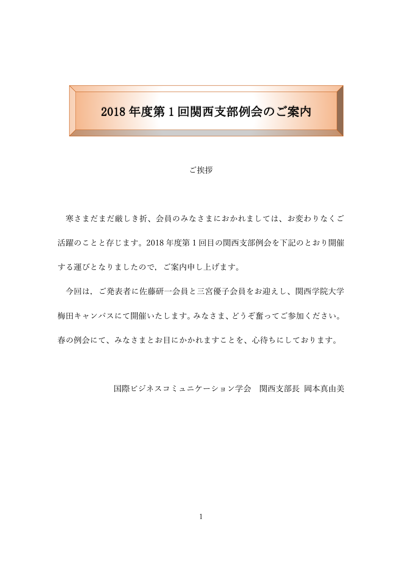# 2018 年度第 1 回関西支部例会のご案内

#### ご挨拶

寒さまだまだ厳しき折、会員のみなさまにおかれましては、お変わりなくご 活躍のことと存じます。2018 年度第 1 回目の関西支部例会を下記のとおり開催 する運びとなりましたので,ご案内申し上げます。

今回は,ご発表者に佐藤研一会員と三宮優子会員をお迎えし、関西学院大学 梅田キャンパスにて開催いたします。みなさま、どうぞ奮ってご参加ください。 春の例会にて、みなさまとお目にかかれますことを、心待ちにしております。

国際ビジネスコミュニケーション学会 関西支部長 岡本真由美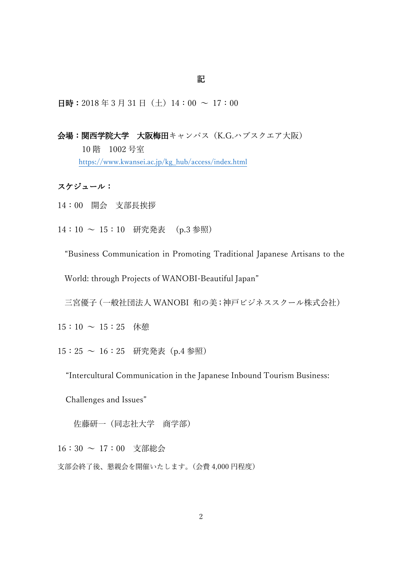### 記

日時: 2018年3月31日(土)14:00 ~ 17:00

### 会場:関西学院大学 大阪梅田キャンパス(K.G.ハブスクエア大阪)

10 階 1002 号室 [https://www.kwansei.ac.jp/kg\\_hub/access/index.html](https://www.kwansei.ac.jp/kg_hub/access/index.html)

### スケジュール:

14:00 開会 支部長挨拶

14:10 ~ 15:10 研究発表 (p.3 参照)

"Business Communication in Promoting Traditional Japanese Artisans to the

World: through Projects of WANOBI-Beautiful Japan"

三宮優子(一般社団法人 WANOBI 和の美;神戸ビジネススクール株式会社)

 $15:10 \sim 15:25$  休憩

15:25 ~ 16:25 研究発表(p.4 参照)

"Intercultural Communication in the Japanese Inbound Tourism Business:

Challenges and Issues"

佐藤研一(同志社大学 商学部)

16:30 ~ 17:00 支部総会

支部会終了後、懇親会を開催いたします。(会費 4,000 円程度)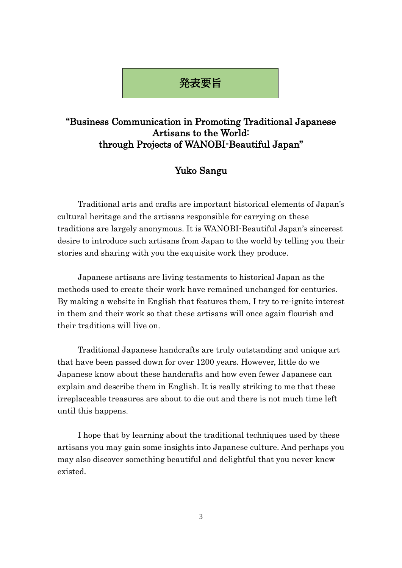## 発表要旨

## "Business Communication in Promoting Traditional Japanese Artisans to the World: through Projects of WANOBI-Beautiful Japan"

## Yuko Sangu

 Traditional arts and crafts are important historical elements of Japan's cultural heritage and the artisans responsible for carrying on these traditions are largely anonymous. It is WANOBI-Beautiful Japan's sincerest desire to introduce such artisans from Japan to the world by telling you their stories and sharing with you the exquisite work they produce.

Japanese artisans are living testaments to historical Japan as the methods used to create their work have remained unchanged for centuries. By making a website in English that features them, I try to re-ignite interest in them and their work so that these artisans will once again flourish and their traditions will live on.

Traditional Japanese handcrafts are truly outstanding and unique art that have been passed down for over 1200 years. However, little do we Japanese know about these handcrafts and how even fewer Japanese can explain and describe them in English. It is really striking to me that these irreplaceable treasures are about to die out and there is not much time left until this happens.

I hope that by learning about the traditional techniques used by these artisans you may gain some insights into Japanese culture. And perhaps you may also discover something beautiful and delightful that you never knew existed.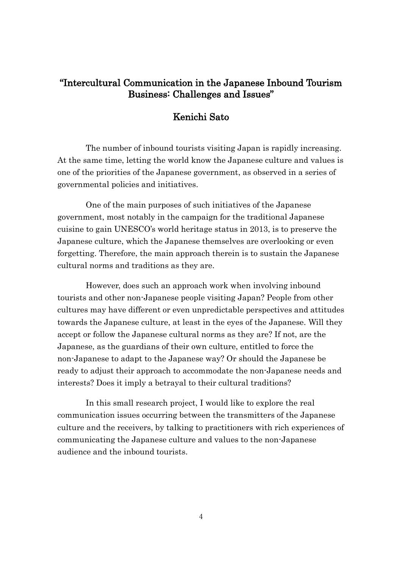## "Intercultural Communication in the Japanese Inbound Tourism Business: Challenges and Issues"

### Kenichi Sato

The number of inbound tourists visiting Japan is rapidly increasing. At the same time, letting the world know the Japanese culture and values is one of the priorities of the Japanese government, as observed in a series of governmental policies and initiatives.

One of the main purposes of such initiatives of the Japanese government, most notably in the campaign for the traditional Japanese cuisine to gain UNESCO's world heritage status in 2013, is to preserve the Japanese culture, which the Japanese themselves are overlooking or even forgetting. Therefore, the main approach therein is to sustain the Japanese cultural norms and traditions as they are.

However, does such an approach work when involving inbound tourists and other non-Japanese people visiting Japan? People from other cultures may have different or even unpredictable perspectives and attitudes towards the Japanese culture, at least in the eyes of the Japanese. Will they accept or follow the Japanese cultural norms as they are? If not, are the Japanese, as the guardians of their own culture, entitled to force the non-Japanese to adapt to the Japanese way? Or should the Japanese be ready to adjust their approach to accommodate the non-Japanese needs and interests? Does it imply a betrayal to their cultural traditions?

In this small research project, I would like to explore the real communication issues occurring between the transmitters of the Japanese culture and the receivers, by talking to practitioners with rich experiences of communicating the Japanese culture and values to the non-Japanese audience and the inbound tourists.